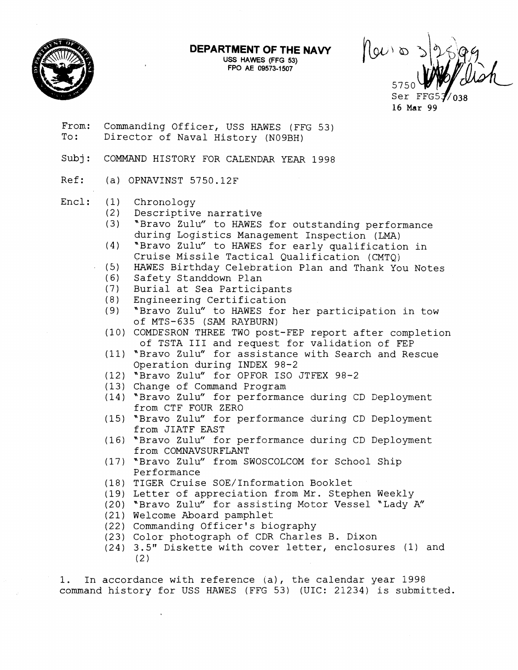**DEPARTMENT OF THE NAVY** 

**USS HAWES (FFG 53) FPO AE 09573-1507** 

 $\int_0^\infty$   $\infty$ 5750  $\sim$ 

From.: Commanding Officer, USS HAWES (FFG 53) To: Director of Naval History (N09BH)

- Subj: COMMAND HISTORY FOR CALENDAR YEAR 1998
- Ref: (a) OPNAVINST 5750.12F
- $Encl: (1)$ Chronology
	- $(2)$ Descriptive narrative
	- *(3)*  "Bravo Zulu" to HAWES for outstanding performance during Logistics Management Inspection (LMA)
	- "Bravo Zulu" to HAWES for early qualification in  $(4)$ Cruise Missile Tactical Qualification (CMTQ)
	- HAWES Birthday Celebration Plan and Thank You Notes
	- (6) Safety Standdown Plan
	- Burial at Sea Participants
	- Engineering Certification  $(8)$
	- "Bravo Zulu" to HAWES for her participation in tow of MTS-635 (SAM RAYBURN)
	- (10) COMDESRON THREE TWO post-FEP report after completion of TSTA I11 and request for validation of FEP
	- (11) "Bravo Zulu" for assistance with Search and Rescue Operation during INDEX 98-2
	- (12) "Bravo Zulu" for OPFOR ISO JTFEX 98-2
	- Change of Command Program
	- $(14)$  "Bravo Zulu" for performance during CD Deployment from CTF FOUR ZERO
	- (15) "Bravo Zulu" for performance during CD Deployment from JIATF EAST
	- (16) "Bravo Zulu" for performance during CD Deployment from COMNAVSURFLANT
	- (17) "Bravo Zulu" from SWOSCOLCOM for School Ship Performance
	- (18) TIGER Cruise SOE/Information Booklet
	- (19) Letter of appreciation from Mr. Stephen Weekly
	- (20) "Bravo Zulu" for assisting Motor Vessel "Lady A"
	- (21) Welcome Aboard pamphlet
	- (22) Commanding Officer's biography
	- (23) Color photograph of CDR Charles B. Dixon
	- 3.5" Diskette with cover letter, enclosures (1) and  $(2)$

1. In accordance with reference ia), **the** calendar year 1998 command history for USS HAWES (FFG 53) (UIC: 21234) is submitted.

Ser FF 16 Mar 99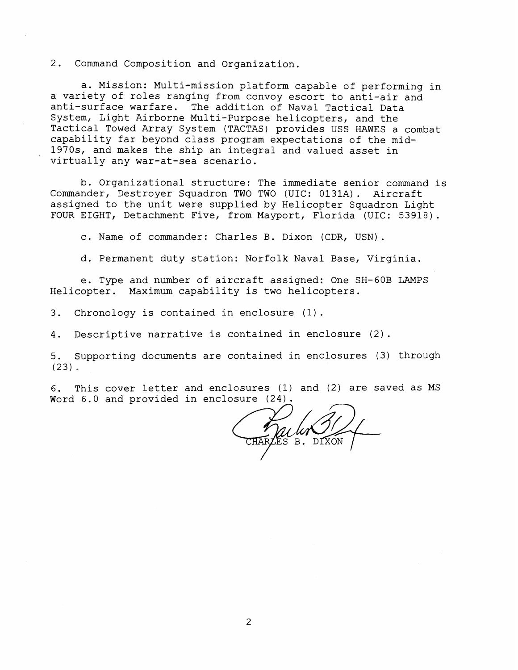2. Command Composition and Organization.

a. Mission: Multi-mission platform capable of performing in a variety of. roles ranging from convoy escort to anti-air and anti-surface warfare. The addition of Naval Tactical Data System, Light Airborne Multi-Purpose helicopters, and the Tactical Towed Array System (TACTAS) provides USS HAWES a combat capability far beyond class program expectations of the mid-1970s, and makes the ship an integral and valued asset in virtually any war-at-sea scenario.

b. Organizational structure: The immediate senior command is Commander, Destroyer Squadron TWO TWO (UIC: 0131A). Aircraft assigned to the unit were supplied by Helicopter Squadron Light FOUR EIGHT, Detachment Five, from Mayport, Florida (UIC: 53918) .

c. Name of commander: Charles B. Dixon (CDR, USN).

d. Permanent duty station: Norfolk Naval Base, Virginia.

e. Type and number of aircraft assigned: One SH-GOB LAMPS Helicopter. Maximum capability is two helicopters.

3. Chronology is contained in enclosure (1).

4. Descriptive narrative is contained in enclosure (2).

5. Supporting documents are contained in enclosures (3) through (23).

6. This cover letter and enclosures (1) and (2) are saved as MS<br>Word 6.0 and provided in enclosure (24).

B. DIXON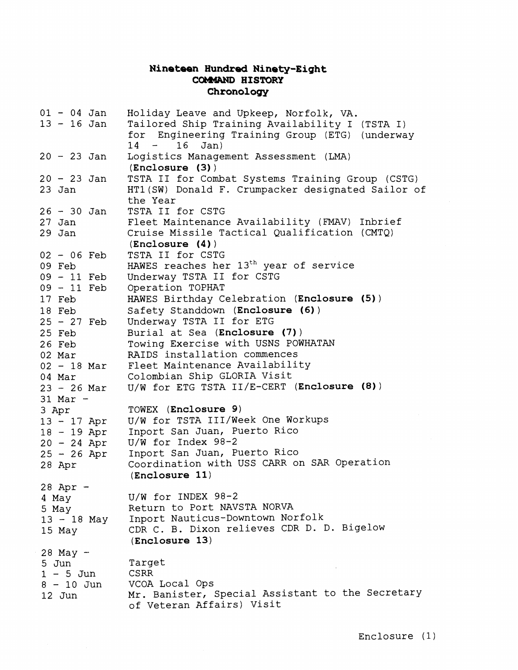## **Nineteen Hundred Ninety-Eight COMdAND HISTORY Chronology**

| $01 - 04$ Jan<br>$13 - 16$ Jan                                                      | Holiday Leave and Upkeep, Norfolk, VA.<br>Tailored Ship Training Availability I (TSTA I)<br>for Engineering Training Group (ETG) (underway<br>Jan)<br>16<br>$14 -$                              |
|-------------------------------------------------------------------------------------|-------------------------------------------------------------------------------------------------------------------------------------------------------------------------------------------------|
| $20 - 23$ Jan                                                                       | Logistics Management Assessment (LMA)<br>(Enclosure (3))                                                                                                                                        |
| $20 - 23$ Jan<br>$23$ Jan                                                           | TSTA II for Combat Systems Training Group (CSTG)<br>HT1(SW) Donald F. Crumpacker designated Sailor of<br>the Year                                                                               |
| $26 - 30$ Jan<br>$27$ Jan<br>29 Jan                                                 | TSTA II for CSTG<br>Fleet Maintenance Availability (FMAV) Inbrief<br>Cruise Missile Tactical Qualification (CMTQ)<br>(Enclosure(4))                                                             |
| $02 - 06$ Feb<br>09 Feb<br>$09 - 11$ Feb<br>09 - 11 Feb                             | TSTA II for CSTG<br>HAWES reaches her 13 <sup>th</sup> year of service<br>Underway TSTA II for CSTG<br>Operation TOPHAT                                                                         |
| 17 Feb<br>18 Feb<br>$25 - 27$ Feb                                                   | HAWES Birthday Celebration (Enclosure (5))<br>Safety Standdown (Enclosure (6))<br>Underway TSTA II for ETG                                                                                      |
| 25 Feb<br>26 Feb<br>02 Mar                                                          | Burial at Sea (Enclosure (7))<br>Towing Exercise with USNS POWHATAN<br>RAIDS installation commences                                                                                             |
| $02 - 18$ Mar<br>04 Mar<br>$23 - 26$ Mar<br>$31$ Mar -                              | Fleet Maintenance Availability<br>Colombian Ship GLORIA Visit<br>U/W for ETG TSTA II/E-CERT (Enclosure (8))                                                                                     |
| 3 Apr<br>$13 - 17$ Apr<br>$18 - 19$ Apr<br>$20 - 24$ Apr<br>$25 - 26$ Apr<br>28 Apr | TOWEX (Enclosure 9)<br>U/W for TSTA III/Week One Workups<br>Inport San Juan, Puerto Rico<br>$U/W$ for Index 98-2<br>Inport San Juan, Puerto Rico<br>Coordination with USS CARR on SAR Operation |
| 28 Apr -                                                                            | (Enclosure 11)                                                                                                                                                                                  |
| 4 May<br>5 May<br>$13 - 18$ May<br>15 May                                           | $U/W$ for INDEX 98-2<br>Return to Port NAVSTA NORVA<br>Inport Nauticus-Downtown Norfolk<br>CDR C. B. Dixon relieves CDR D. D. Bigelow<br>(Enclosure 13)                                         |
| 28 May -<br>5 Jun<br>$1 - 5$ Jun<br>$8 - 10$ Jun<br>12 Jun                          | Target<br><b>CSRR</b><br>VCOA Local Ops<br>Mr. Banister, Special Assistant to the Secretary<br>of Veteran Affairs) Visit                                                                        |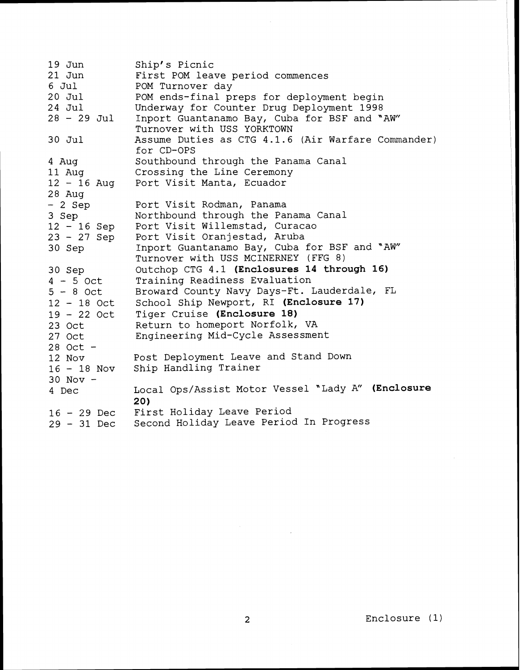$19$  Jun  $21$  Jun 6 Jul 20 Jul 24 Jul <sup>28</sup>- 29 Jul 30 Jul 4 Aug 11 Aug  $12 - 16$  Aug 28 Aug  $-2$  Sep 3 Sep  $12 - 16$  Sep 23 - 27 Sep 30 Sep 30 Sep <sup>4</sup>- *5* Oct  $5 - 8$  Oct <sup>12</sup>- 18 Oct <sup>19</sup>- 22 Oct 23 Oct 27 Oct 28 Oct - 12 Nov  $16 - 18$  Nov  $30$  Nov  $-$ 4 Dec <sup>16</sup>- 29 Dec <sup>29</sup>- 31 Dec Ship's Picnic First POM leave period commences POM Turnover day POM ends-final preps for deployment begin Underway for Counter Drug Deployment 1998 Inport Guantanamo Bay, Cuba for BSF and "AW" Turnover with USS YORKTOWN Assume Duties as CTG 4.1.6 (Air Warfare Commander) for CD-OPS Southbound through the Panama Canal Crossing the Line Ceremony Port Visit Manta, Ecuador Port Visit Rodman, Panama Northbound through the Panama Canal Port Visit Willemstad, Curacao Port Visit Oranjestad, Aruba Inport Guantanamo Bay, Cuba for BSF and "AW" Turnover with USS MCINERNEY (FFG 8) Outchop CTG 4.1 **(Enclosures 14 through 16)**  Training Readiness Evaluation Broward County Navy Days-Ft. Lauderdale, FL School Ship Newport, RI **(Enclosure 17)**  Tiger Cruise **(Enclosure 18)**  Return to homeport Norfolk, VA Engineering Mid-Cycle Assessment Post Deployment Leave and Stand Down Ship Handling Trainer Local Ops/Assist Motor Vessel "Lady A" **(Enclosure 20)**  First Holiday Leave Period Second Holiday Leave Period In Progress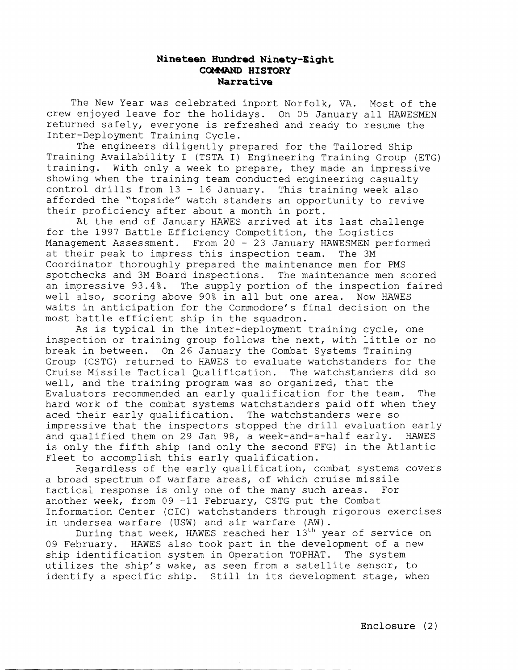## **Nineteen Hundred Ninety-Eight CokMAND HISTORY Narrative**

The New Year was celebrated inport Norfolk, VA. Most of the crew enjoyed leave for the holidays. On 05 January all HAWESMEN returned safely, everyone is refreshed and ready to resume the Inter-Deployment Training Cycle.

The engineers diligently prepared for the Tailored Ship Training Availability I (TSTA I) Engineering Training Group (ETG) training. With only a week to prepare, they made an impressive showing when the training team conducted engineering casualty control drills from 13 - 16 January. This training week also afforded the "topside" watch standers an opportunity to revive their proficiency after about a month in port.

At the end of January HAWES arrived at its last challenge for the 1997 Battle Efficiency Competition, the Logistics Management Assessment. From 20 - 23 January HAWESMEN performed at their peak to impress this inspection team. The 3M Coordinator thoroughly prepared the maintenance men for PMS spotchecks and 3M Board inspections. The maintenance men scored an impressive 93.4%. The supply portion of the inspection faired well also, scoring above 90% in all but one area. Now HAWES waits in anticipation for the Commodore's final decision on the most battle efficient ship in the squadron.

As is typical in the inter-deployment training cycle, one inspection or training group follows the next, with little or no break in between. On 26 January the Combat Systems Training Group (CSTG) returned to HAWES to evaluate watchstanders for the Cruise Missile Tactical Qualification. The watchstanders did so well, and the training program was so organized, that the Evaluators recommended an early qualification for the team. The hard work of the combat systems watchstanders paid off when they aced their early qualification. The watchstanders were so impressive that the inspectors stopped the drill evaluation early and qualified them on 29 Jan 98, a week-and-a-half early. HAWES is only the fifth ship (and only the second FFG) in the Atlantic Fleet to accomplish this early qualification.

Regardless of the early qualification, combat systems covers a broad spectrum of warfare areas, of which cruise missile tactical response is only one of the many such areas. For another week, from 09 -11 February, CSTG put the Combat Information Center (CIC) watchstanders through rigorous exercises in undersea warfare (USW) and air warfare  $(AW)$ .<br>During that week, HAWES reached her  $13^{th}$  year of service on

09 February. HAWES also took part in the development of a new ship identification system in Operation TOPHAT. The system utilizes the ship's wake, as seen from a satellite sensor, to identify a specific ship. Still in its development stage, when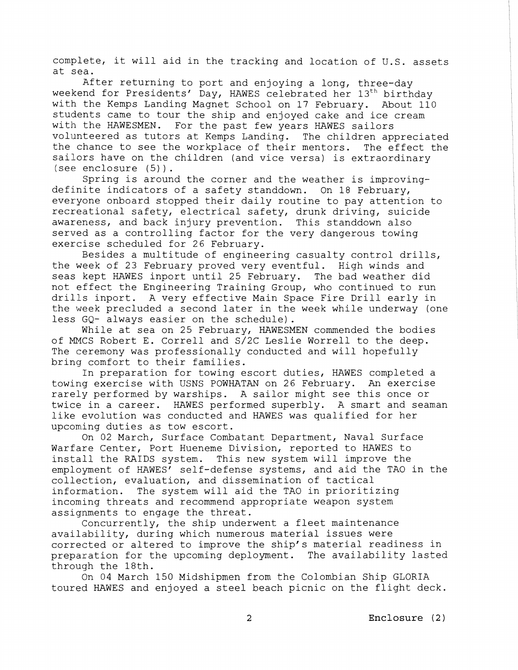complete, it will aid in the tracking and location of U.S. assets at sea.

After returning to port and enjoying a long, three-day weekend for Presidents' Day, HAWES celebrated her 13<sup>th</sup> birthday with the Kemps Landing Magnet School on 17 February. About 110 students came to tour the ship and enjoyed cake and ice cream with the HAWESMEN. For the past few years HAWES sailors volunteered as tutors at Kemps Landing. The children appreciated the chance to see the workplace of their mentors. The effect the sailors have on the children (and vice versa) is extraordinary (see enclosure (5) ) . Spring is around the corner and the weather is improving-

definite indicators of a safety standdown. On 18 February, everyone onboard stopped their daily routine to pay attention to recreational safety, electrical safety, drunk driving, suicide awareness, and back injury prevention. This standdown also served as a controlling factor for the very dangerous towing exercise scheduled for 26 February.

Besides a multitude of engineering casualty control drills, the week of 23 February proved very eventful. High winds and seas kept HAWES inport until 25 February. The bad weather did not effect the Engineering Training Group, who continued to run drills inport. A very effective Main Space Fire Drill early in the week precluded a second later in the week while underway (one less GQ- always easier on the schedule).

While at sea on 25 February, HAWESMEN commended the bodies of MMCS Robert E. Correll and S/2C Leslie Worrell to the deep. The ceremony was professionally conducted and will hopefully bring comfort to their families.

In preparation for towing escort duties, HAWES completed a towing exercise with USNS POWHATAN on 26 February. An exercise rarely performed by warships. A sailor might see this once or twice in a career. HAWES performed superbly. A smart and seaman like evolution was conducted and HAWES was qualified for her upcoming duties as tow escort.

On 02 March, Surface Combatant Department, Naval Surface Warfare Center, Port Hueneme Division, reported to HAWES to install the RAIDS system. This new system will improve the employment of HAWES' self-defense systems, and aid the TAO in the collection, evaluation, and dissemination of tactical information. The system will aid the TAO in prioritizing incoming threats and recommend appropriate weapon system assignments to engage the threat.

Concurrently, the ship underwent a fleet maintenance availability, during which numerous material issues were corrected or altered to improve the ship's material readiness in preparation for the upcoming deployment. The availability lasted through the 18th.

On 04 March 150 Midshipmen from the Colombian Ship GLORIA toured HAWES and enjoyed a steel beach picnic on the flight deck.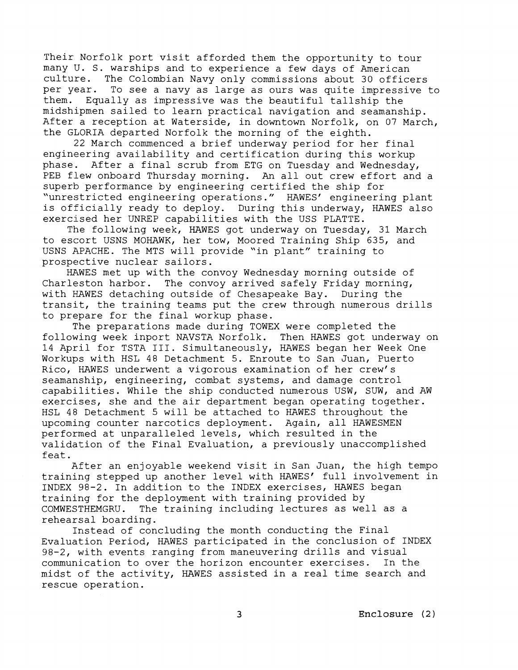Their Norfolk port visit afforded them the opportunity to tour many U. S. warships and to experience a few days of American culture. The Colombian Navy only commissions about 30 officers per year. To see a navy as large as ours was quite impressive to them. Equally as impressive was the beautiful tallship the midshipmen sailed to learn practical navigation and seamanship. After a reception at Waterside, in downtown Norfolk, on 07 March, the GLORIA departed Norfolk the morning of the eighth.

22 March commenced a brief underway period for her final engineering availability and certification during this workup phase. After a final scrub from ETG on Tuesday and Wednesday, PEB flew onboard Thursday morning. An all out crew effort and a superb performance by engineering certified the ship for "unrestricted engineering operations." HAWES' engineering plant is officially ready to deploy. During this underway, HAWES also exercised her UNREP capabilities with the USS PLATTE.

The following week, HAWES got underway on Tuesday, 31 March to escort USNS MOHAWK, her tow, Moored Training Ship 635, and USNS APACHE. The MTS will provide "in plant" training to prospective nuclear sailors.

HAWES met up with the convoy Wednesday morning outside of Charleston harbor. The convoy arrived safely Friday morning, with HRWES detaching outside of Chesapeake Bay. During the transit, the training teams put the crew through numerous drills to prepare for the final workup phase.

The preparations made during TOWEX were completed the following week inport NAVSTA Norfolk. Then HAWES got underway on 14 April for TSTA 111. Simultaneously, HAWES began her Week One Workups with HSL 48 Detachment 5. Enroute to San Juan, Puerto Rico, HAWES underwent a vigorous examination of her crew's seamanship, engineering, combat systems, and damage control capabilities. While the ship conducted numerous USW, SUW, and AW exercises, she and the air department began operating together. HSL 48 Detachment 5 will be attached to HAWES throughout the upcoming counter narcotics deployment. Again, all HAWESMEN performed at unparalleled levels, which resulted in the validation of the Final Evaluation, a previously unaccomplished feat.

After an enjoyable weekend visit in San Juan, the high tempo training stepped up another level with HAWES' full involvement in INDEX 98-2. In addition to the INDEX exercises, HAWES began training for the deployment with training provided by COMWESTHEMGRU. The training including lectures as well as a rehearsal boarding.

Instead of concluding the month conducting the Final Evaluation Period, HAWES participated in the conclusion of INDEX 98-2, with events ranging from maneuvering drills and visual communication to over the horizon encounter exercises. In the midst of the activity, HAWES assisted in a real time search and rescue operation.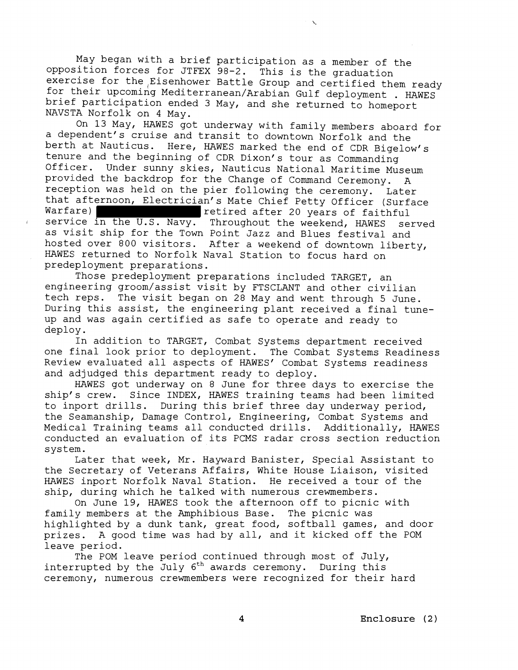May began with a brief participation as a member of the opposition forces for JTFEX 98-2. This is the graduation exercise for the Eisenhower Battle Group and certified them ready for their upcoming Mediterranean/Arabian Gulf deployment . HAWES brief participation ended 3 May, and she returned to homeport NAVS'TA Norfolk on 4 May.

On 13 May, HAWES got underway with family members aboard for a dependent's cruise and transit to downtown Norfolk and the berth at Nauticus. Here, HAWES marked the end of CDR Bigelow's tenure and the beginning of CDR Dixon's tour as Commanding Officer. Under sunny skies, Nauticus National Maritime Museum provided the backdrop for the Change of Command Ceremony. A reception was held on the pier following the ceremony. Later that afternoon, Electrician's Mate Chief Petty Officer (Surface Warfare) **Warfare**) **Retired after 20 years of faithful** service in the U.S. Navy. Throughout the weekend, HAWES served as visit ship for the Town Point Jazz and Blues festival and hosted over 800 visitors. After a weekend of downtown liberty, HAWES returned to Norfolk Naval Station to focus hard on predeployment preparations.

Those predeployment preparations included TARGET, an engineering groom/assist visit by FTSCLANT and other civilian tech reps. The visit began on 28 May and went through 5 June. During this assist, the engineering plant received a final tuneup and was again certified as safe to operate and ready to deploy.

In addition to TARGET, Combat Systems department received one final look prior to deployment. The Combat Systems Readiness Review evaluated all aspects of HAWES' Combat Systems readiness and adjudged this department ready to deploy.

HAWES got underway on 8 June for three days to exercise the ship's crew. Since INDEX, HAWES training teams had been limited to inport drills. During this brief three day underway period, the Seamanship, Damage Control, Engineering, Combat Systems and Medical Training teams all conducted drills. Additionally, HAWES conducted an evaluation of its PCMS radar cross section reduction system.

Later that week, Mr. Hayward Banister, Special Assistant to the Secretary of Veterans Affairs, White House Liaison, visited HAWES inport Norfolk Naval Station. He received a tour of the ship, during which he talked with numerous crewmembers.

On June 19, HAWES took the afternoon off to picnic with family members at the Amphibious Base. The picnic was highlighted by a dunk tank, great food, softball games, and door prizes. A good time was had by all, and it kicked off the POM leave period.

The POM leave period continued through most of July, interrupted by the July  $6^{th}$  awards ceremony. During this ceremony, numerous crewmembers were recognized for their hard

**4 Enclosure** ( 2 )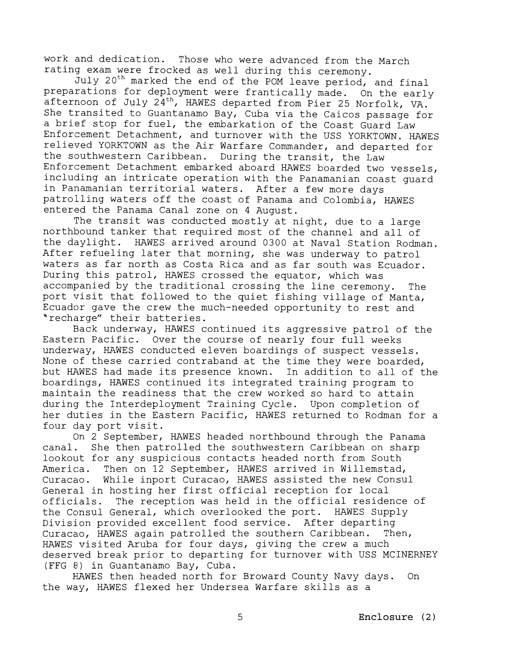work and dedication. Those who were advanced from the March rating exam were frocked as well during this ceremony.

July 2oth marked the end of the POM leave period, and final preparations for deployment were frantically made. On the early afternoon of July 24th, HAWES departed from Pier 25 Norfolk, VA. She transited to Guantanamo Bay, Cuba via the Caicos passage for a brief stop for fuel, the embarkation of the Coast Guard Law Enforcement Detachment, and turnover with the USS YORKTOWN. HAWES relieved YORKTOWN as the Air Warfare Commander, and departed for the southwestern Caribbean. During the transit, the Law Enforcement Detachment embarked aboard HAWES boarded two vessels, including an intricate operation with the Panamanian coast guard in Panamanian territorial waters. After a few more days patrolling waters off the coast of Panama and Colombia, HAWES entered the Panama Canal zone on 4 August.

The transit was conducted mostly at night, due to a large northbound tanker that required most of the channel and all of the daylight. HAWES arrived around 0300 at Naval Station Rodman. After refueling later that morning, she was underway to patrol waters as far north as Costa Rica and as far south was Ecuador. During this patrol, HAWES crossed the equator, which was accompanied by the traditional crossing the line ceremony. The port visit that followed to the quiet fishing village of Manta, Ecuador gave the crew the much-needed opportunity to rest and "recharge" their batteries.

Back underway, HAWES continued its aggressive patrol of the Eastern Pacific. Over the course of nearly four full weeks underway, HAWES conducted eleven boardings of suspect vessels. None of these carried contraband at the time they were boarded, but HAWES had made its presence known. In addition to all of the boardings, HAWES continued its integrated training program to maintain the readiness that the crew worked so hard to attain during the Interdeployment Training Cycle. Upon completion of her duties in the Eastern Pacific, HAWES returned to Rodman for a four day port visit.

On 2 September, HAWES headed northbound through the Panama<br>canal. She then patrolled the southwestern Caribbean on sharp She then patrolled the southwestern Caribbean on sharp lookout for any suspicious contacts headed north from South<br>America. Then on 12 September, HAWES arrived in Willemstad America. Then on 12 September, HAWES arrived in Willemstad, Curacao. While inport Curacao, HAWES assisted the new Consu While inport Curacao, HAWES assisted the new Consul General in hosting her first official reception for local<br>officials. The reception was held in the official reside The reception was held in the official residence of the Consul General, which overlooked the port. HAWES Supply Division provided excellent food service. After departing Curacao, HAWES again patrolled the southern Caribbean. Then, HAWES visited Aruba for four days, giving the crew a much deserved break prior to departing for turnover with USS MCINERNEY (FFG 8) in Guantanamo Bay, Cuba.

HAWES then headed north for Broward County Navy days. On the way, HAWES flexed her Undersea Warfare skills as a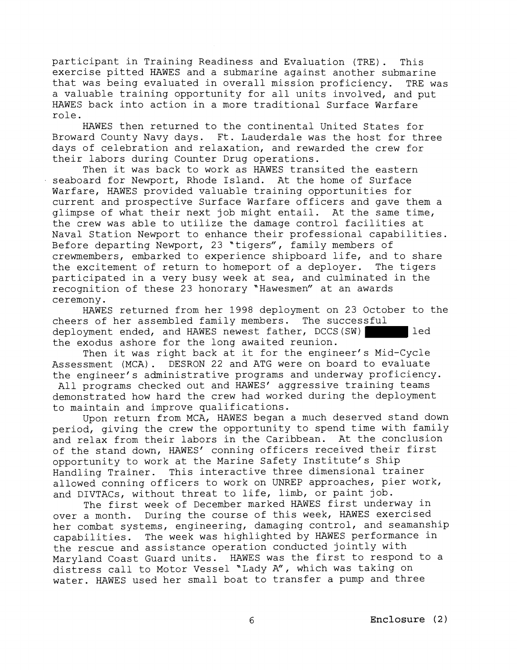participant in Training Readiness and Evaluation (TRE) . This exercise pitted HAWES and a submarine against another submarine that was being evaluated in overall mission proficiency. TRE was a valuable training opportunity for all units involved, and put HAWES back into action in a more traditional Surface Warfare role.

HAWES then returned to the continental United States for Broward County Navy days. Ft. Lauderdale was the host for three days of celebration and relaxation, and rewarded the crew for their labors during Counter Drug operations.

Then it was back to work as HAWES transited the eastern seaboard for Newport, Rhode Island. At the home of Surface Warfare, HAWES provided valuable training opportunities for current and prospective Surface Warfare officers and gave them a glimpse of what their next job might entail. At the same time, the crew was able to utilize the damage control facilities at Naval Station Newport to enhance their professional capabilities. Before departing Newport, 23 "tigers", family members of crewmembers, embarked to experience shipboard life, and to share the excitement of return to homeport of a deployer. The tigers participated in a very busy week at sea, and culminated in the recognition of these 23 honorary "Hawesmen" at an awards

ceremony.<br>HAWES returned from her 1998 deployment on 23 October to the cheers of her assembled family members. The successful deployment ended, and HAWES newest father, DCCS(SW) | led the exodus ashore for the long awaited reunion.

Then it was right back at it for the engineer's Mid-Cycle Assessment (MCA). DESRON 22 and ATG were on board to evaluate the engineer's administrative programs and underway proficiency.

All programs checked out and HAWES' aggressive training teams demonstrated how hard the crew had worked during the deployment to maintain and improve qualifications.

Upon return from MCA, HAWES began a much deserved stand down period, giving the crew the opportunity to spend time with family and relax from their labors in the Caribbean. At the conclusion of the stand down, HAWES' conning officers received their first opportunity to work at the Marine Safety Institute's Ship Handling Trainer. This interactive three dimensional trainer allowed conning officers to work on UNREP approaches, pier work, and DIVTACs, without threat to life, limb, or paint job.

The first week of December marked HAWES first underway in over. a month. During the course of this week, HAWES exercised her combat systems, engineering, damaging control, and seamanship capabilities. The week was highlighted by HAWES performance in the rescue and assistance operation conducted jointly with Maryland Coast Guard units. HAWES was the first to respond to a distress call to Motor Vessel "Lady A", which was taking on water. HAWES used her small boat to transfer a pump and three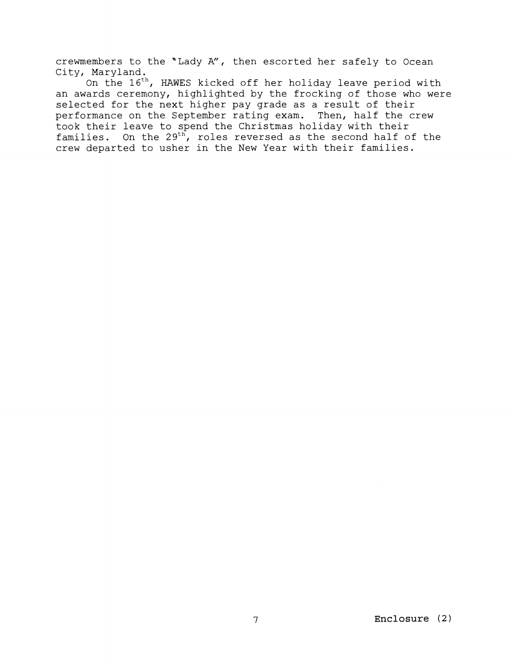crewmembers to the "Lady A", then escorted her safely to Ocean City, Maryland.

On the 16th, HAWES kicked off her holiday leave period with an awards ceremony, highlighted by the frocking of those who were selected for the next higher pay grade as a result of their performance on the September rating exam. Then, half the crew took their leave to spend the Christmas holiday with their families. On the  $29^{th}$ , roles reversed as the second half of the crew departed to usher in the New Year with their families.